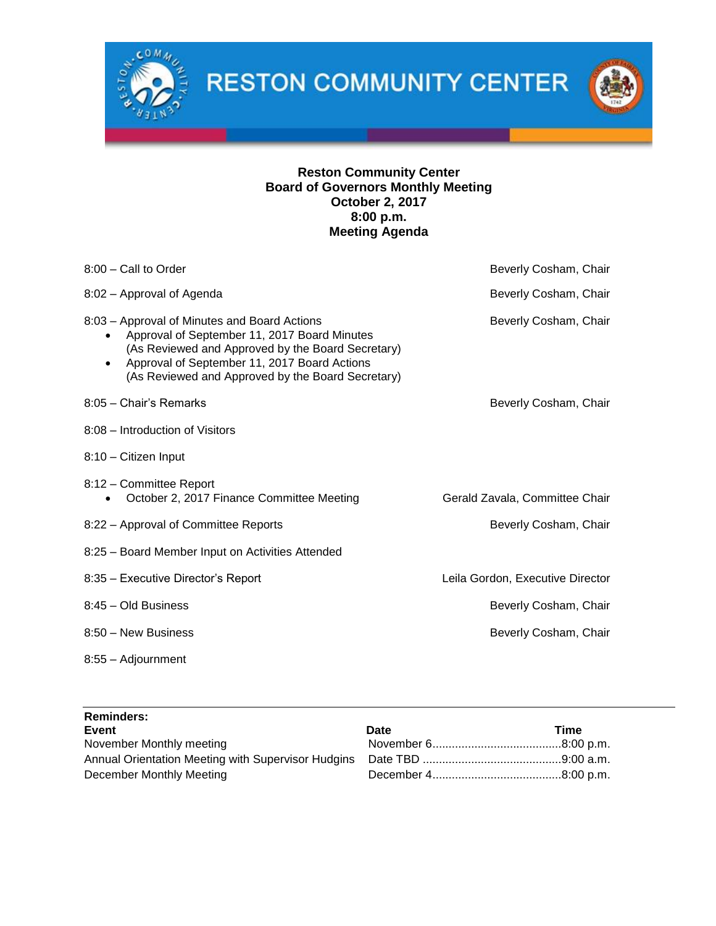

**RESTON COMMUNITY CENTER** 

## **Reston Community Center Board of Governors Monthly Meeting October 2, 2017 8:00 p.m. Meeting Agenda**

| 8:00 - Call to Order                                                                                                                                                                                                                                                             | Beverly Cosham, Chair            |
|----------------------------------------------------------------------------------------------------------------------------------------------------------------------------------------------------------------------------------------------------------------------------------|----------------------------------|
| 8:02 - Approval of Agenda                                                                                                                                                                                                                                                        | Beverly Cosham, Chair            |
| 8:03 – Approval of Minutes and Board Actions<br>Approval of September 11, 2017 Board Minutes<br>$\bullet$<br>(As Reviewed and Approved by the Board Secretary)<br>Approval of September 11, 2017 Board Actions<br>$\bullet$<br>(As Reviewed and Approved by the Board Secretary) | Beverly Cosham, Chair            |
| 8:05 - Chair's Remarks                                                                                                                                                                                                                                                           | Beverly Cosham, Chair            |
| 8:08 – Introduction of Visitors                                                                                                                                                                                                                                                  |                                  |
| 8:10 - Citizen Input                                                                                                                                                                                                                                                             |                                  |
| 8:12 - Committee Report<br>October 2, 2017 Finance Committee Meeting                                                                                                                                                                                                             | Gerald Zavala, Committee Chair   |
| 8:22 - Approval of Committee Reports                                                                                                                                                                                                                                             | Beverly Cosham, Chair            |
| 8:25 - Board Member Input on Activities Attended                                                                                                                                                                                                                                 |                                  |
| 8:35 - Executive Director's Report                                                                                                                                                                                                                                               | Leila Gordon, Executive Director |
| 8:45 - Old Business                                                                                                                                                                                                                                                              | Beverly Cosham, Chair            |
| 8:50 - New Business                                                                                                                                                                                                                                                              | Beverly Cosham, Chair            |
| 8:55 - Adjournment                                                                                                                                                                                                                                                               |                                  |

| <b>Reminders:</b>        |             |      |
|--------------------------|-------------|------|
| Event                    | <b>Date</b> | Time |
| November Monthly meeting |             |      |
|                          |             |      |
| December Monthly Meeting |             |      |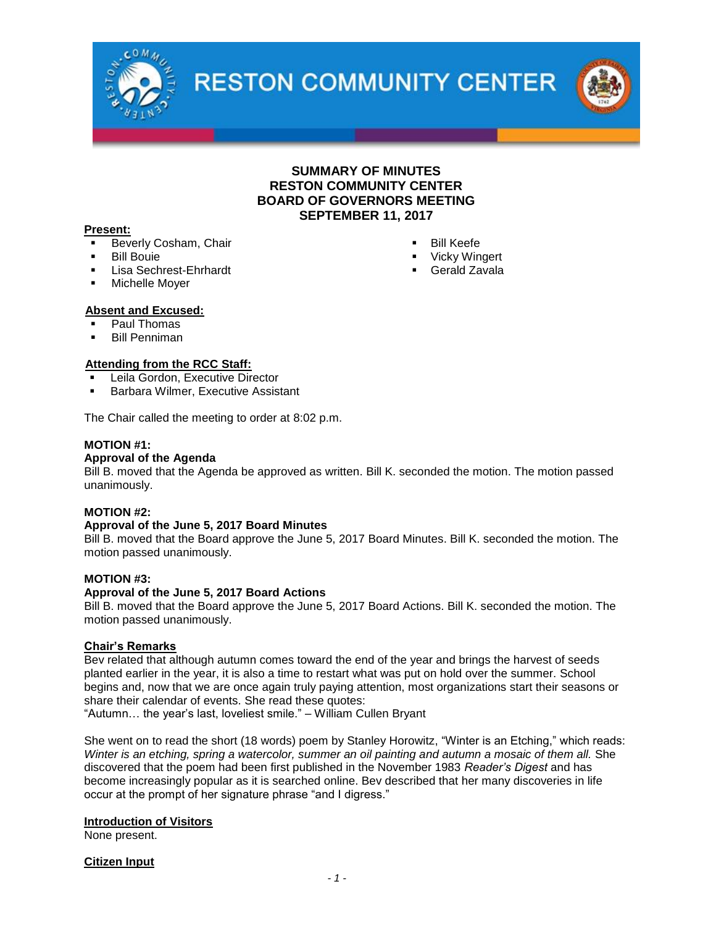

**RESTON COMMUNITY CENTER** 



#### **Present:**

- Beverly Cosham, Chair
- **Bill Bouie**
- Lisa Sechrest-Ehrhardt
- Michelle Moyer
- Bill Keefe
- **Vicky Wingert**
- **•** Gerald Zavala

- **Absent and Excused:** Paul Thomas
- **Bill Penniman**

#### **Attending from the RCC Staff:**

- Leila Gordon, Executive Director
- Barbara Wilmer, Executive Assistant

The Chair called the meeting to order at 8:02 p.m.

#### **MOTION #1:**

#### **Approval of the Agenda**

Bill B. moved that the Agenda be approved as written. Bill K. seconded the motion. The motion passed unanimously.

#### **MOTION #2:**

#### **Approval of the June 5, 2017 Board Minutes**

Bill B. moved that the Board approve the June 5, 2017 Board Minutes. Bill K. seconded the motion. The motion passed unanimously.

#### **MOTION #3:**

#### **Approval of the June 5, 2017 Board Actions**

Bill B. moved that the Board approve the June 5, 2017 Board Actions. Bill K. seconded the motion. The motion passed unanimously.

#### **Chair's Remarks**

Bev related that although autumn comes toward the end of the year and brings the harvest of seeds planted earlier in the year, it is also a time to restart what was put on hold over the summer. School begins and, now that we are once again truly paying attention, most organizations start their seasons or share their calendar of events. She read these quotes:

"Autumn… the year's last, loveliest smile." – William Cullen Bryant

She went on to read the short (18 words) poem by Stanley Horowitz, "Winter is an Etching," which reads: *Winter is an etching, spring a watercolor, summer an oil painting and autumn a mosaic of them all.* She discovered that the poem had been first published in the November 1983 *Reader's Digest* and has become increasingly popular as it is searched online. Bev described that her many discoveries in life occur at the prompt of her signature phrase "and I digress."

#### **Introduction of Visitors**

None present.

**Citizen Input**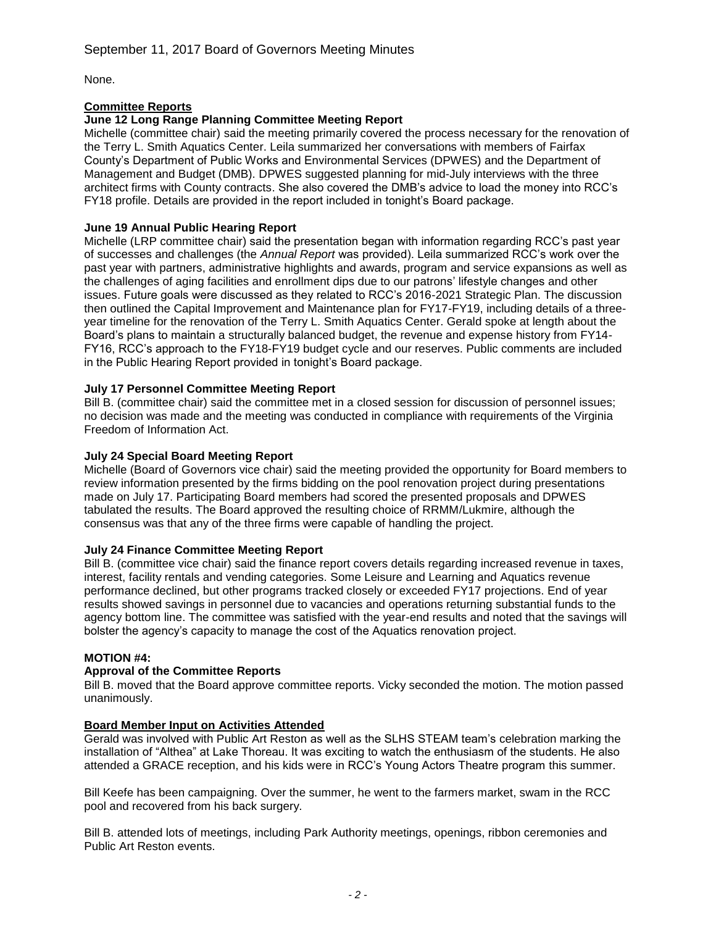None.

## **Committee Reports**

## **June 12 Long Range Planning Committee Meeting Report**

Michelle (committee chair) said the meeting primarily covered the process necessary for the renovation of the Terry L. Smith Aquatics Center. Leila summarized her conversations with members of Fairfax County's Department of Public Works and Environmental Services (DPWES) and the Department of Management and Budget (DMB). DPWES suggested planning for mid-July interviews with the three architect firms with County contracts. She also covered the DMB's advice to load the money into RCC's FY18 profile. Details are provided in the report included in tonight's Board package.

## **June 19 Annual Public Hearing Report**

Michelle (LRP committee chair) said the presentation began with information regarding RCC's past year of successes and challenges (the *Annual Report* was provided). Leila summarized RCC's work over the past year with partners, administrative highlights and awards, program and service expansions as well as the challenges of aging facilities and enrollment dips due to our patrons' lifestyle changes and other issues. Future goals were discussed as they related to RCC's 2016-2021 Strategic Plan. The discussion then outlined the Capital Improvement and Maintenance plan for FY17-FY19, including details of a threeyear timeline for the renovation of the Terry L. Smith Aquatics Center. Gerald spoke at length about the Board's plans to maintain a structurally balanced budget, the revenue and expense history from FY14- FY16, RCC's approach to the FY18-FY19 budget cycle and our reserves. Public comments are included in the Public Hearing Report provided in tonight's Board package.

## **July 17 Personnel Committee Meeting Report**

Bill B. (committee chair) said the committee met in a closed session for discussion of personnel issues; no decision was made and the meeting was conducted in compliance with requirements of the Virginia Freedom of Information Act.

## **July 24 Special Board Meeting Report**

Michelle (Board of Governors vice chair) said the meeting provided the opportunity for Board members to review information presented by the firms bidding on the pool renovation project during presentations made on July 17. Participating Board members had scored the presented proposals and DPWES tabulated the results. The Board approved the resulting choice of RRMM/Lukmire, although the consensus was that any of the three firms were capable of handling the project.

### **July 24 Finance Committee Meeting Report**

Bill B. (committee vice chair) said the finance report covers details regarding increased revenue in taxes, interest, facility rentals and vending categories. Some Leisure and Learning and Aquatics revenue performance declined, but other programs tracked closely or exceeded FY17 projections. End of year results showed savings in personnel due to vacancies and operations returning substantial funds to the agency bottom line. The committee was satisfied with the year-end results and noted that the savings will bolster the agency's capacity to manage the cost of the Aquatics renovation project.

### **MOTION #4:**

### **Approval of the Committee Reports**

Bill B. moved that the Board approve committee reports. Vicky seconded the motion. The motion passed unanimously.

### **Board Member Input on Activities Attended**

Gerald was involved with Public Art Reston as well as the SLHS STEAM team's celebration marking the installation of "Althea" at Lake Thoreau. It was exciting to watch the enthusiasm of the students. He also attended a GRACE reception, and his kids were in RCC's Young Actors Theatre program this summer.

Bill Keefe has been campaigning. Over the summer, he went to the farmers market, swam in the RCC pool and recovered from his back surgery.

Bill B. attended lots of meetings, including Park Authority meetings, openings, ribbon ceremonies and Public Art Reston events.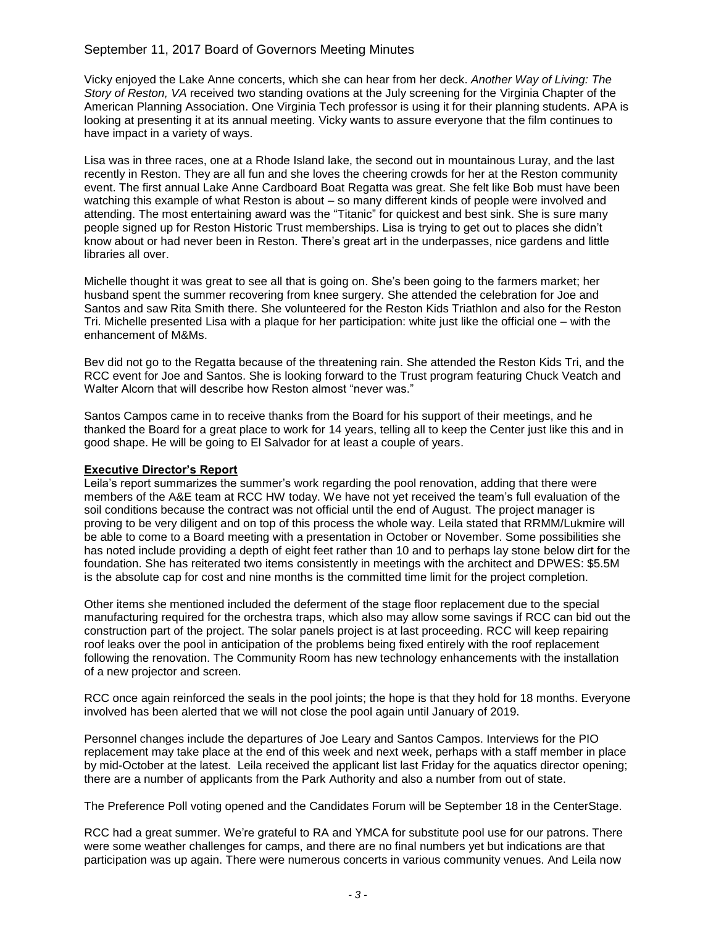### September 11, 2017 Board of Governors Meeting Minutes

Vicky enjoyed the Lake Anne concerts, which she can hear from her deck. *Another Way of Living: The Story of Reston, VA* received two standing ovations at the July screening for the Virginia Chapter of the American Planning Association. One Virginia Tech professor is using it for their planning students. APA is looking at presenting it at its annual meeting. Vicky wants to assure everyone that the film continues to have impact in a variety of ways.

Lisa was in three races, one at a Rhode Island lake, the second out in mountainous Luray, and the last recently in Reston. They are all fun and she loves the cheering crowds for her at the Reston community event. The first annual Lake Anne Cardboard Boat Regatta was great. She felt like Bob must have been watching this example of what Reston is about – so many different kinds of people were involved and attending. The most entertaining award was the "Titanic" for quickest and best sink. She is sure many people signed up for Reston Historic Trust memberships. Lisa is trying to get out to places she didn't know about or had never been in Reston. There's great art in the underpasses, nice gardens and little libraries all over.

Michelle thought it was great to see all that is going on. She's been going to the farmers market; her husband spent the summer recovering from knee surgery. She attended the celebration for Joe and Santos and saw Rita Smith there. She volunteered for the Reston Kids Triathlon and also for the Reston Tri. Michelle presented Lisa with a plaque for her participation: white just like the official one – with the enhancement of M&Ms.

Bev did not go to the Regatta because of the threatening rain. She attended the Reston Kids Tri, and the RCC event for Joe and Santos. She is looking forward to the Trust program featuring Chuck Veatch and Walter Alcorn that will describe how Reston almost "never was."

Santos Campos came in to receive thanks from the Board for his support of their meetings, and he thanked the Board for a great place to work for 14 years, telling all to keep the Center just like this and in good shape. He will be going to El Salvador for at least a couple of years.

### **Executive Director's Report**

Leila's report summarizes the summer's work regarding the pool renovation, adding that there were members of the A&E team at RCC HW today. We have not yet received the team's full evaluation of the soil conditions because the contract was not official until the end of August. The project manager is proving to be very diligent and on top of this process the whole way. Leila stated that RRMM/Lukmire will be able to come to a Board meeting with a presentation in October or November. Some possibilities she has noted include providing a depth of eight feet rather than 10 and to perhaps lay stone below dirt for the foundation. She has reiterated two items consistently in meetings with the architect and DPWES: \$5.5M is the absolute cap for cost and nine months is the committed time limit for the project completion.

Other items she mentioned included the deferment of the stage floor replacement due to the special manufacturing required for the orchestra traps, which also may allow some savings if RCC can bid out the construction part of the project. The solar panels project is at last proceeding. RCC will keep repairing roof leaks over the pool in anticipation of the problems being fixed entirely with the roof replacement following the renovation. The Community Room has new technology enhancements with the installation of a new projector and screen.

RCC once again reinforced the seals in the pool joints; the hope is that they hold for 18 months. Everyone involved has been alerted that we will not close the pool again until January of 2019.

Personnel changes include the departures of Joe Leary and Santos Campos. Interviews for the PIO replacement may take place at the end of this week and next week, perhaps with a staff member in place by mid-October at the latest. Leila received the applicant list last Friday for the aquatics director opening; there are a number of applicants from the Park Authority and also a number from out of state.

The Preference Poll voting opened and the Candidates Forum will be September 18 in the CenterStage.

RCC had a great summer. We're grateful to RA and YMCA for substitute pool use for our patrons. There were some weather challenges for camps, and there are no final numbers yet but indications are that participation was up again. There were numerous concerts in various community venues. And Leila now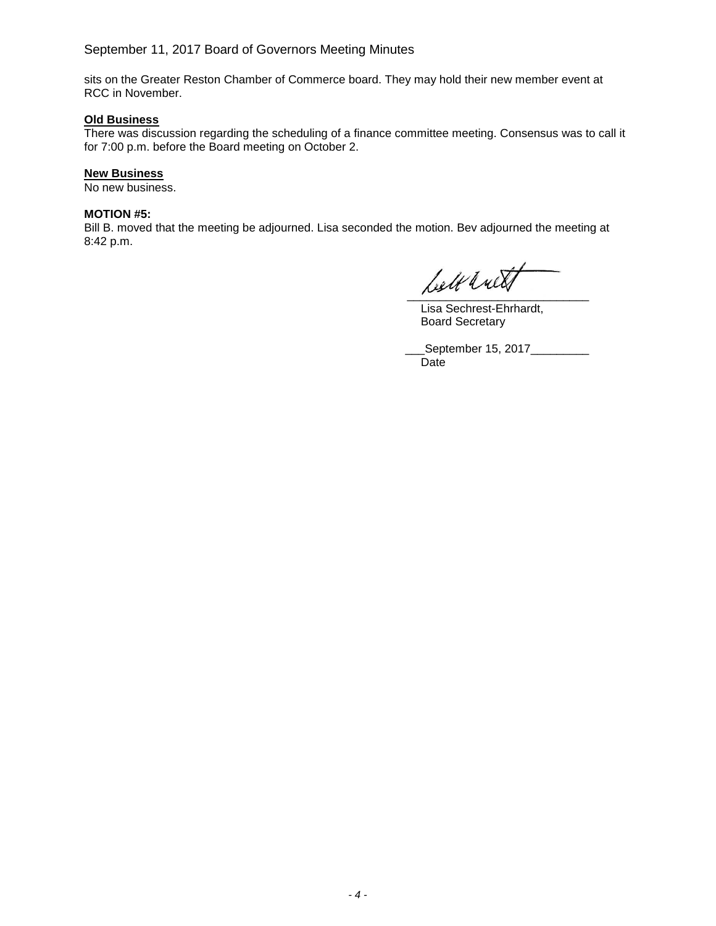sits on the Greater Reston Chamber of Commerce board. They may hold their new member event at RCC in November.

### **Old Business**

There was discussion regarding the scheduling of a finance committee meeting. Consensus was to call it for 7:00 p.m. before the Board meeting on October 2.

#### **New Business**

No new business.

#### **MOTION #5:**

Bill B. moved that the meeting be adjourned. Lisa seconded the motion. Bev adjourned the meeting at 8:42 p.m.

Leelt with

Lisa Sechrest-Ehrhardt, Board Secretary

\_\_\_September 15, 2017\_\_\_\_\_\_\_\_\_ Date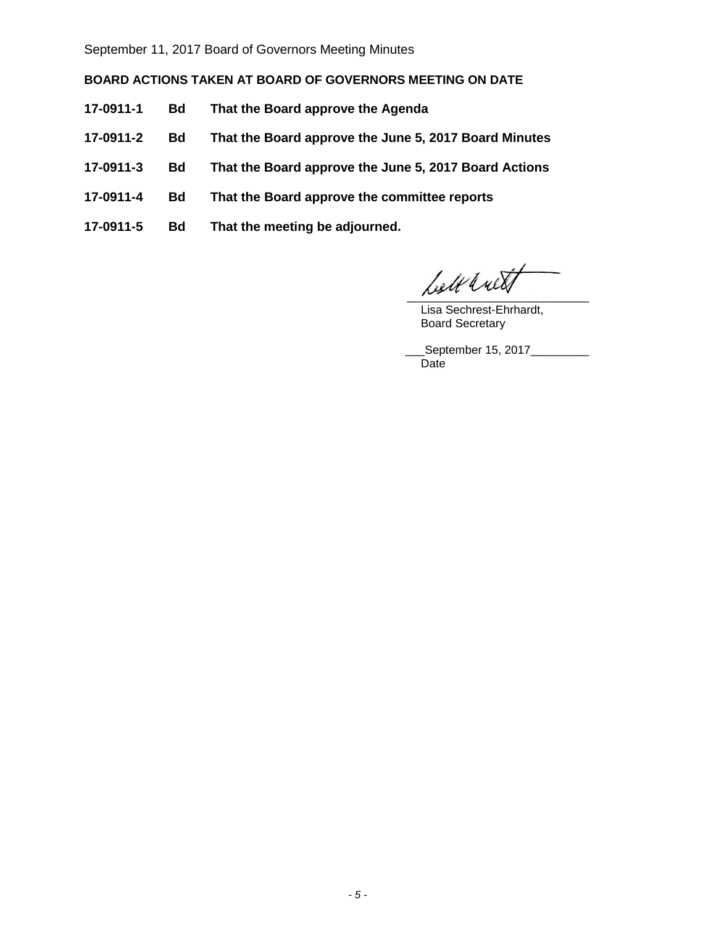September 11, 2017 Board of Governors Meeting Minutes

**BOARD ACTIONS TAKEN AT BOARD OF GOVERNORS MEETING ON DATE**

- **17-0911-1 Bd That the Board approve the Agenda**
- **17-0911-2 Bd That the Board approve the June 5, 2017 Board Minutes**
- **17-0911-3 Bd That the Board approve the June 5, 2017 Board Actions**
- **17-0911-4 Bd That the Board approve the committee reports**
- **17-0911-5 Bd That the meeting be adjourned.**

 $\mathcal{L}$ estt $\mathcal{L}$ uett

Lisa Sechrest-Ehrhardt, Board Secretary

\_\_\_September 15, 2017\_\_\_\_\_\_\_\_\_ Date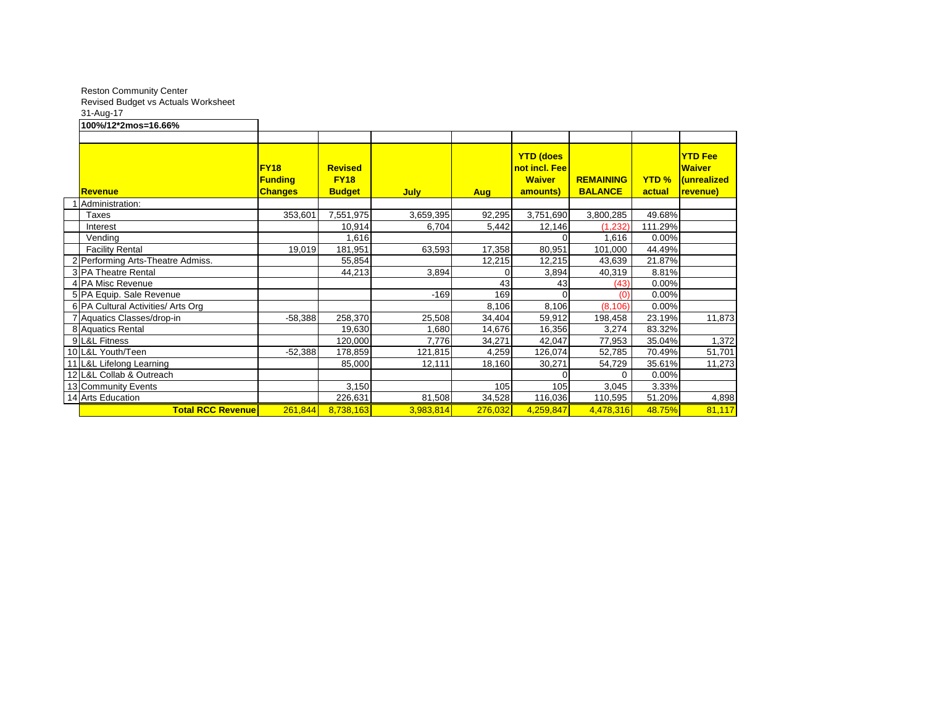Reston Community Center Revised Budget vs Actuals Worksheet 31-Aug-17

#### **100%/12\*2mos=16.66%**

| <b>Revenue</b>                     | <b>FY18</b><br><b>Funding</b><br><b>Changes</b> | <b>Revised</b><br><b>FY18</b><br><b>Budget</b> | <b>July</b> | <b>Aug</b> | <b>YTD (does</b><br>not incl. Fee<br><b>Waiver</b><br>amounts) | <b>REMAINING</b><br><b>BALANCE</b> | <b>YTD %</b><br>actual | <b>YTD Fee</b><br><b>Waiver</b><br><b>Unrealized</b><br>revenue) |
|------------------------------------|-------------------------------------------------|------------------------------------------------|-------------|------------|----------------------------------------------------------------|------------------------------------|------------------------|------------------------------------------------------------------|
| Administration:                    |                                                 |                                                |             |            |                                                                |                                    |                        |                                                                  |
| Taxes                              | 353,601                                         | 7,551,975                                      | 3,659,395   | 92,295     | 3,751,690                                                      | 3,800,285                          | 49.68%                 |                                                                  |
| Interest                           |                                                 | 10,914                                         | 6,704       | 5,442      | 12,146                                                         | (1, 232)                           | 111.29%                |                                                                  |
| Vending                            |                                                 | 1,616                                          |             |            |                                                                | 1,616                              | 0.00%                  |                                                                  |
| <b>Facility Rental</b>             | 19,019                                          | 181,951                                        | 63,593      | 17,358     | 80,951                                                         | 101,000                            | 44.49%                 |                                                                  |
| 2 Performing Arts-Theatre Admiss.  |                                                 | 55,854                                         |             | 12,215     | 12,215                                                         | 43,639                             | 21.87%                 |                                                                  |
| 3 PA Theatre Rental                |                                                 | 44,213                                         | 3,894       |            | 3,894                                                          | 40,319                             | 8.81%                  |                                                                  |
| 4 PA Misc Revenue                  |                                                 |                                                |             | 43         | 43 <sub>l</sub>                                                | (43)                               | 0.00%                  |                                                                  |
| 5 PA Equip. Sale Revenue           |                                                 |                                                | $-169$      | 169        |                                                                | (0)                                | 0.00%                  |                                                                  |
| 6 PA Cultural Activities/ Arts Org |                                                 |                                                |             | 8,106      | 8,106                                                          | (8, 106)                           | 0.00%                  |                                                                  |
| 7 Aquatics Classes/drop-in         | $-58,388$                                       | 258,370                                        | 25,508      | 34,404     | 59,912                                                         | 198,458                            | 23.19%                 | 11,873                                                           |
| 8 Aquatics Rental                  |                                                 | 19,630                                         | 1,680       | 14,676     | 16,356                                                         | 3,274                              | 83.32%                 |                                                                  |
| 9 L&L Fitness                      |                                                 | 120,000                                        | 7,776       | 34,271     | 42,047                                                         | 77,953                             | 35.04%                 | 1,372                                                            |
| 10 L&L Youth/Teen                  | $-52,388$                                       | 178,859                                        | 121,815     | 4,259      | 126,074                                                        | 52,785                             | 70.49%                 | 51,701                                                           |
| 11 L&L Lifelong Learning           |                                                 | 85,000                                         | 12,111      | 18,160     | 30,271                                                         | 54,729                             | 35.61%                 | 11,273                                                           |
| 12 L&L Collab & Outreach           |                                                 |                                                |             |            | $\Omega$                                                       | ∩                                  | 0.00%                  |                                                                  |
| 13 Community Events                |                                                 | 3,150                                          |             | 105        | 105                                                            | 3,045                              | 3.33%                  |                                                                  |
| 14 Arts Education                  |                                                 | 226,631                                        | 81,508      | 34,528     | 116,036                                                        | 110,595                            | 51.20%                 | 4,898                                                            |
| <b>Total RCC Revenue</b>           | 261,844                                         | 8,738,163                                      | 3,983,814   | 276,032    | 4,259,847                                                      | 4,478,316                          | 48.75%                 | 81,117                                                           |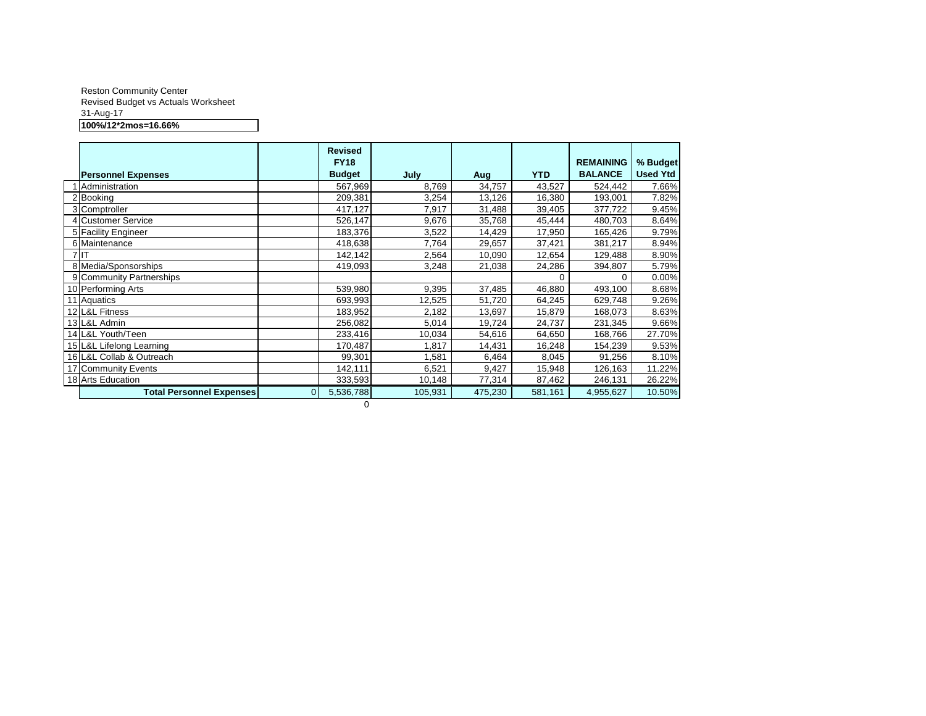#### Reston Community Center Revised Budget vs Actuals Worksheet 31-Aug-17 **100%/12\*2mos=16.66%**

|                                 |          | <b>Revised</b><br><b>FY18</b> |         |         |            | <b>REMAINING</b> | % Budget        |
|---------------------------------|----------|-------------------------------|---------|---------|------------|------------------|-----------------|
| <b>Personnel Expenses</b>       |          | <b>Budget</b>                 | July    | Aug     | <b>YTD</b> | <b>BALANCE</b>   | <b>Used Ytd</b> |
| Administration                  |          | 567,969                       | 8,769   | 34,757  | 43,527     | 524,442          | 7.66%           |
| 2 Booking                       |          | 209,381                       | 3,254   | 13,126  | 16,380     | 193,001          | 7.82%           |
| 3 Comptroller                   |          | 417,127                       | 7,917   | 31,488  | 39,405     | 377,722          | 9.45%           |
| 4 Customer Service              |          | 526,147                       | 9,676   | 35,768  | 45,444     | 480,703          | 8.64%           |
| 5 Facility Engineer             |          | 183,376                       | 3,522   | 14,429  | 17,950     | 165,426          | 9.79%           |
| 6 Maintenance                   |          | 418,638                       | 7,764   | 29,657  | 37,421     | 381,217          | 8.94%           |
| 7 IT                            |          | 142,142                       | 2,564   | 10,090  | 12,654     | 129,488          | 8.90%           |
| 8 Media/Sponsorships            |          | 419,093                       | 3,248   | 21,038  | 24,286     | 394,807          | 5.79%           |
| 9 Community Partnerships        |          |                               |         |         | 0          | 0                | 0.00%           |
| 10 Performing Arts              |          | 539,980                       | 9,395   | 37,485  | 46,880     | 493,100          | 8.68%           |
| 11 Aquatics                     |          | 693,993                       | 12,525  | 51,720  | 64,245     | 629,748          | 9.26%           |
| 12 L&L Fitness                  |          | 183,952                       | 2,182   | 13,697  | 15,879     | 168,073          | 8.63%           |
| 13 L&L Admin                    |          | 256,082                       | 5,014   | 19,724  | 24,737     | 231,345          | 9.66%           |
| 14 L&L Youth/Teen               |          | 233,416                       | 10,034  | 54,616  | 64,650     | 168,766          | 27.70%          |
| 15 L&L Lifelong Learning        |          | 170,487                       | 1,817   | 14,431  | 16,248     | 154,239          | 9.53%           |
| 16 L&L Collab & Outreach        |          | 99,301                        | 1,581   | 6,464   | 8,045      | 91,256           | 8.10%           |
| 17 Community Events             |          | 142,111                       | 6,521   | 9,427   | 15,948     | 126,163          | 11.22%          |
| 18 Arts Education               |          | 333,593                       | 10,148  | 77,314  | 87,462     | 246,131          | 26.22%          |
| <b>Total Personnel Expenses</b> | $\Omega$ | 5,536,788                     | 105,931 | 475,230 | 581,161    | 4,955,627        | 10.50%          |
|                                 |          | 0                             |         |         |            |                  |                 |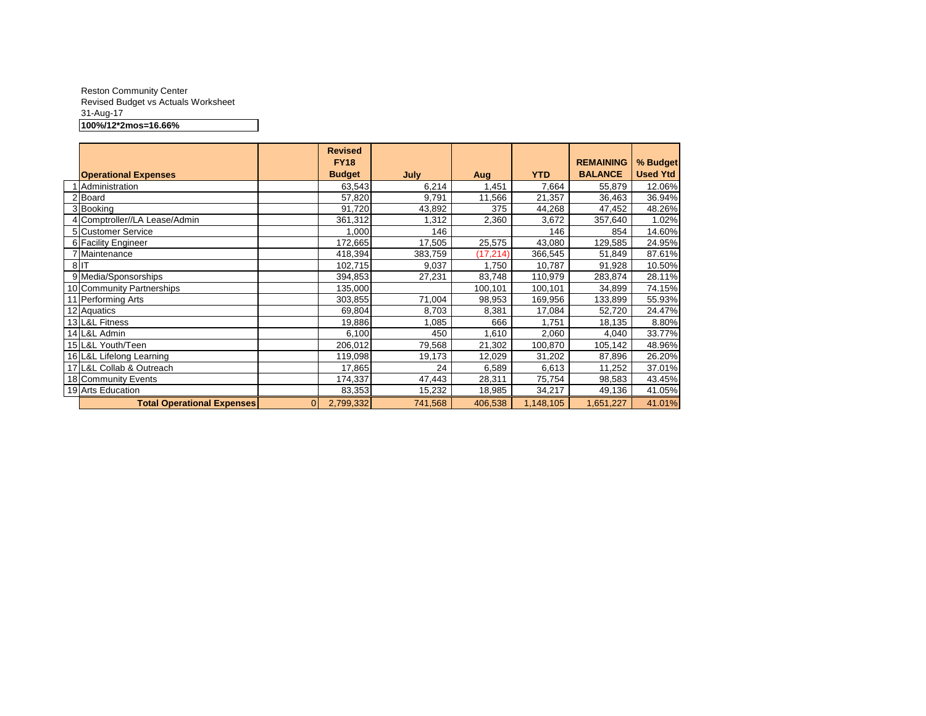#### Reston Community Center Revised Budget vs Actuals Worksheet 31-Aug-17 **100%/12\*2mos=16.66%**

|                                   |          | <b>Revised</b><br><b>FY18</b> |             |           |            | <b>REMAINING</b> | % Budget        |
|-----------------------------------|----------|-------------------------------|-------------|-----------|------------|------------------|-----------------|
| <b>Operational Expenses</b>       |          | <b>Budget</b>                 | <b>July</b> | Aug       | <b>YTD</b> | <b>BALANCE</b>   | <b>Used Ytd</b> |
| Administration                    |          | 63,543                        | 6,214       | .451      | 7,664      | 55,879           | 12.06%          |
| 2 Board                           |          | 57,820                        | 9,791       | 11,566    | 21,357     | 36,463           | 36.94%          |
| 3 Booking                         |          | 91,720                        | 43,892      | 375       | 44,268     | 47,452           | 48.26%          |
| 4 Comptroller//LA Lease/Admin     |          | 361,312                       | 1,312       | 2,360     | 3,672      | 357,640          | 1.02%           |
| 5 Customer Service                |          | 1,000                         | 146         |           | 146        | 854              | 14.60%          |
| 6 Facility Engineer               |          | 172,665                       | 17,505      | 25,575    | 43,080     | 129,585          | 24.95%          |
| 7 Maintenance                     |          | 418,394                       | 383,759     | (17, 214) | 366,545    | 51,849           | 87.61%          |
| 8IT                               |          | 102,715                       | 9,037       | 1,750     | 10,787     | 91,928           | 10.50%          |
| 9 Media/Sponsorships              |          | 394,853                       | 27,231      | 83,748    | 110,979    | 283,874          | 28.11%          |
| 10 Community Partnerships         |          | 135,000                       |             | 100,101   | 100,101    | 34,899           | 74.15%          |
| 11 Performing Arts                |          | 303,855                       | 71,004      | 98,953    | 169,956    | 133,899          | 55.93%          |
| 12 Aquatics                       |          | 69,804                        | 8,703       | 8,381     | 17,084     | 52,720           | 24.47%          |
| 13 L&L Fitness                    |          | 19,886                        | 1,085       | 666       | 1,751      | 18,135           | 8.80%           |
| 14 L&L Admin                      |          | 6,100                         | 450         | 1,610     | 2,060      | 4,040            | 33.77%          |
| 15 L&L Youth/Teen                 |          | 206,012                       | 79,568      | 21,302    | 100,870    | 105,142          | 48.96%          |
| 16 L&L Lifelong Learning          |          | 119,098                       | 19,173      | 12,029    | 31,202     | 87,896           | 26.20%          |
| 17 L&L Collab & Outreach          |          | 17,865                        | 24          | 6,589     | 6,613      | 11,252           | 37.01%          |
| 18 Community Events               |          | 174,337                       | 47,443      | 28,311    | 75,754     | 98,583           | 43.45%          |
| 19 Arts Education                 |          | 83,353                        | 15,232      | 18,985    | 34,217     | 49,136           | 41.05%          |
| <b>Total Operational Expenses</b> | $\Omega$ | 2,799,332                     | 741,568     | 406,538   | 1,148,105  | 1,651,227        | 41.01%          |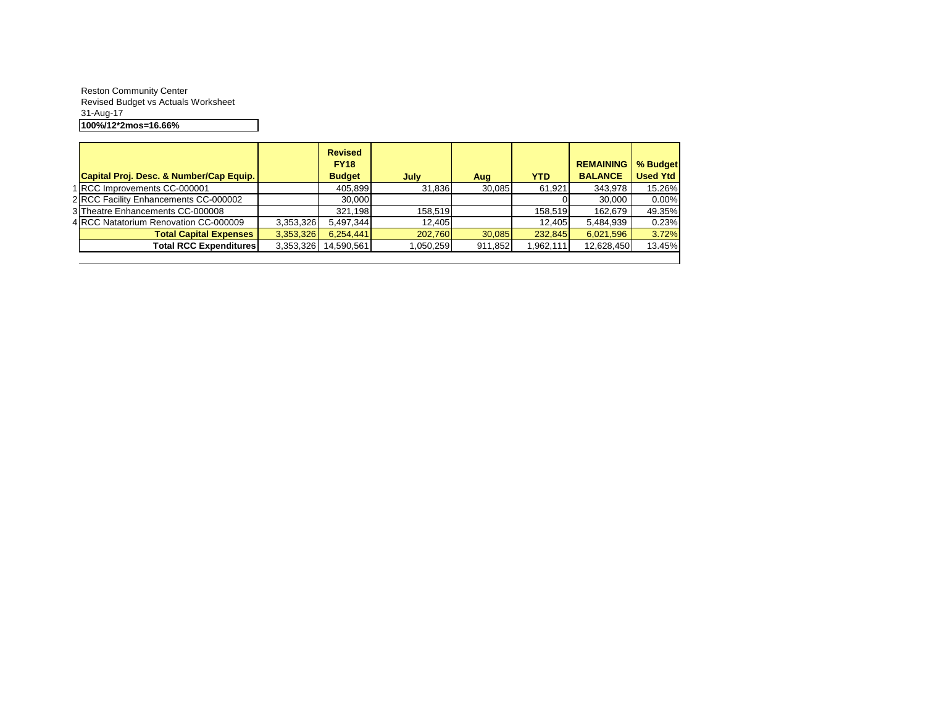Reston Community Center Revised Budget vs Actuals Worksheet 31-Aug-17 **100%/12\*2mos=16.66%**

| Capital Proj. Desc. & Number/Cap Equip. |           | <b>Revised</b><br><b>FY18</b><br><b>Budget</b> | July      | Aug     | <b>YTD</b> | <b>REMAINING</b><br><b>BALANCE</b> | % Budget<br><b>Used Ytd</b> |
|-----------------------------------------|-----------|------------------------------------------------|-----------|---------|------------|------------------------------------|-----------------------------|
| 1 RCC Improvements CC-000001            |           | 405.899                                        | 31.836    | 30.085  | 61.921     | 343.978                            | 15.26%                      |
| 2 RCC Facility Enhancements CC-000002   |           | 30,000                                         |           |         |            | 30.000                             | 0.00%                       |
| 3 Theatre Enhancements CC-000008        |           | 321.198                                        | 158.519   |         | 158.519    | 162.679                            | 49.35%                      |
| 4 RCC Natatorium Renovation CC-000009   | 3,353,326 | 5.497.344                                      | 12.405    |         | 12.405     | 5,484,939                          | 0.23%                       |
| <b>Total Capital Expenses</b>           | 3,353,326 | 6,254,441                                      | 202.760   | 30.085  | 232.845    | 6,021,596                          | 3.72%                       |
| <b>Total RCC Expenditures</b>           | 3,353,326 | 14,590,561                                     | 1,050,259 | 911,852 | 962,111    | 12,628,450                         | 13.45%                      |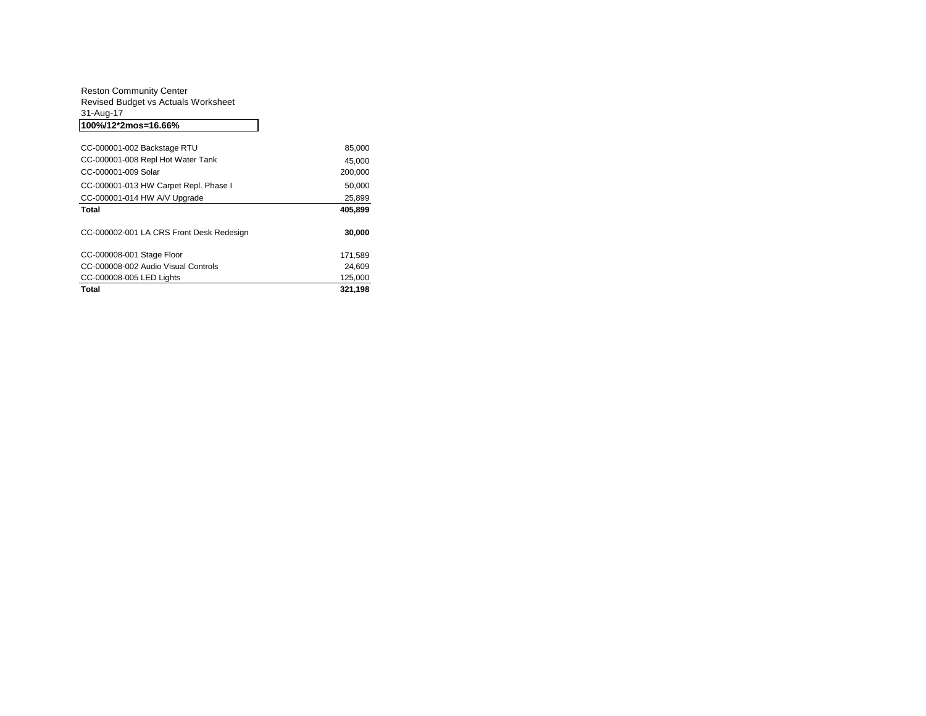| 100%/12*2mos=16.66%                 |
|-------------------------------------|
| 31-Aug-17                           |
| Revised Budget vs Actuals Worksheet |
| <b>Reston Community Center</b>      |

| CC-000001-002 Backstage RTU              | 85,000  |
|------------------------------------------|---------|
| CC-000001-008 Repl Hot Water Tank        | 45.000  |
| CC-000001-009 Solar                      | 200.000 |
| CC-000001-013 HW Carpet Repl. Phase I    | 50,000  |
| CC-000001-014 HW A/V Upgrade             | 25.899  |
| <b>Total</b>                             | 405.899 |
| CC-000002-001 LA CRS Front Desk Redesign | 30,000  |
|                                          |         |
| CC-000008-001 Stage Floor                | 171.589 |
| CC-000008-002 Audio Visual Controls      | 24,609  |
| CC-000008-005 LED Lights                 | 125,000 |
| <b>Total</b>                             | 321.198 |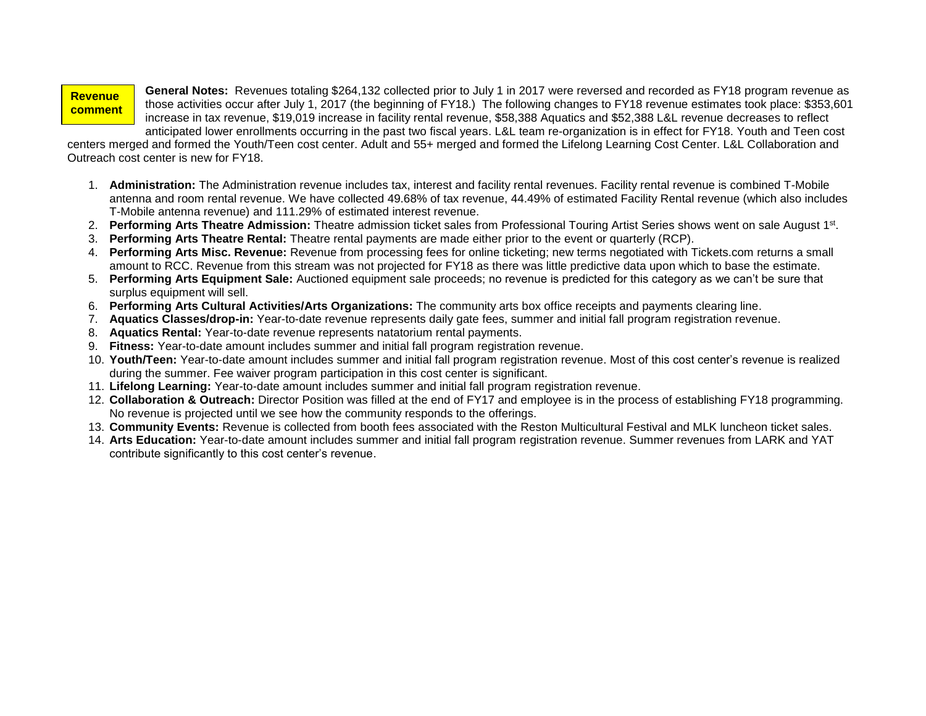#### **Revenue comment**

**s:**

**General Notes:** Revenues totaling \$264,132 collected prior to July 1 in 2017 were reversed and recorded as FY18 program revenue as those activities occur after July 1, 2017 (the beginning of FY18.) The following changes to FY18 revenue estimates took place: \$353,601 increase in tax revenue, \$19,019 increase in facility rental revenue, \$58,388 Aquatics and \$52,388 L&L revenue decreases to reflect anticipated lower enrollments occurring in the past two fiscal years. L&L team re-organization is in effect for FY18. Youth and Teen cost

centers merged and formed the Youth/Teen cost center. Adult and 55+ merged and formed the Lifelong Learning Cost Center. L&L Collaboration and Outreach cost center is new for FY18.

- 1. **Administration:** The Administration revenue includes tax, interest and facility rental revenues. Facility rental revenue is combined T-Mobile antenna and room rental revenue. We have collected 49.68% of tax revenue, 44.49% of estimated Facility Rental revenue (which also includes T-Mobile antenna revenue) and 111.29% of estimated interest revenue.
- 2. **Performing Arts Theatre Admission:** Theatre admission ticket sales from Professional Touring Artist Series shows went on sale August 1st .
- 3. **Performing Arts Theatre Rental:** Theatre rental payments are made either prior to the event or quarterly (RCP).
- 4. **Performing Arts Misc. Revenue:** Revenue from processing fees for online ticketing; new terms negotiated with Tickets.com returns a small amount to RCC. Revenue from this stream was not projected for FY18 as there was little predictive data upon which to base the estimate.
- 5. **Performing Arts Equipment Sale:** Auctioned equipment sale proceeds; no revenue is predicted for this category as we can't be sure that surplus equipment will sell.
- 6. **Performing Arts Cultural Activities/Arts Organizations:** The community arts box office receipts and payments clearing line.
- 7. **Aquatics Classes/drop-in:** Year-to-date revenue represents daily gate fees, summer and initial fall program registration revenue.
- 8. **Aquatics Rental:** Year-to-date revenue represents natatorium rental payments.
- 9. **Fitness:** Year-to-date amount includes summer and initial fall program registration revenue.
- 10. **Youth/Teen:** Year-to-date amount includes summer and initial fall program registration revenue. Most of this cost center's revenue is realized during the summer. Fee waiver program participation in this cost center is significant.
- 11. **Lifelong Learning:** Year-to-date amount includes summer and initial fall program registration revenue.
- 12. **Collaboration & Outreach:** Director Position was filled at the end of FY17 and employee is in the process of establishing FY18 programming. No revenue is projected until we see how the community responds to the offerings.
- 13. **Community Events:** Revenue is collected from booth fees associated with the Reston Multicultural Festival and MLK luncheon ticket sales.
- 14. **Arts Education:** Year-to-date amount includes summer and initial fall program registration revenue. Summer revenues from LARK and YAT contribute significantly to this cost center's revenue.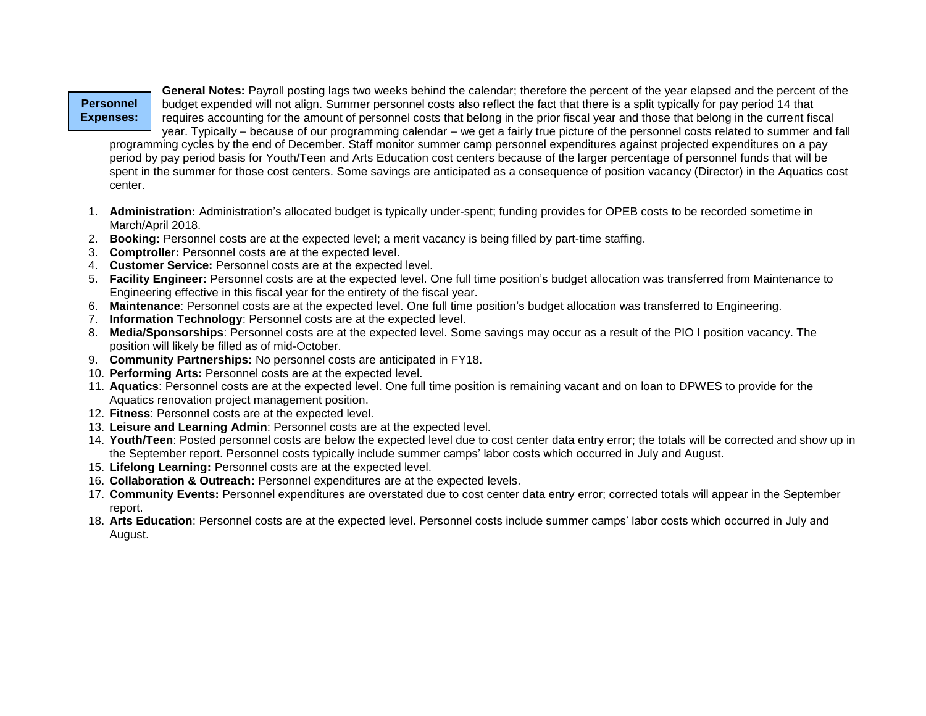#### **Personnel Expenses:**

**General Notes:** Payroll posting lags two weeks behind the calendar; therefore the percent of the year elapsed and the percent of the budget expended will not align. Summer personnel costs also reflect the fact that there is a split typically for pay period 14 that requires accounting for the amount of personnel costs that belong in the prior fiscal year and those that belong in the current fiscal year. Typically – because of our programming calendar – we get a fairly true picture of the personnel costs related to summer and fall

programming cycles by the end of December. Staff monitor summer camp personnel expenditures against projected expenditures on a pay period by pay period basis for Youth/Teen and Arts Education cost centers because of the larger percentage of personnel funds that will be spent in the summer for those cost centers. Some savings are anticipated as a consequence of position vacancy (Director) in the Aquatics cost center.

- 1. **Administration:** Administration's allocated budget is typically under-spent; funding provides for OPEB costs to be recorded sometime in March/April 2018.
- 2. **Booking:** Personnel costs are at the expected level; a merit vacancy is being filled by part-time staffing.
- 3. **Comptroller:** Personnel costs are at the expected level.
- 4. **Customer Service:** Personnel costs are at the expected level.
- 5. **Facility Engineer:** Personnel costs are at the expected level. One full time position's budget allocation was transferred from Maintenance to Engineering effective in this fiscal year for the entirety of the fiscal year.
- 6. **Maintenance**: Personnel costs are at the expected level. One full time position's budget allocation was transferred to Engineering.
- 7. **Information Technology**: Personnel costs are at the expected level.
- 8. **Media/Sponsorships**: Personnel costs are at the expected level. Some savings may occur as a result of the PIO I position vacancy. The position will likely be filled as of mid-October.
- 9. **Community Partnerships:** No personnel costs are anticipated in FY18.
- 10. **Performing Arts:** Personnel costs are at the expected level.
- 11. **Aquatics**: Personnel costs are at the expected level. One full time position is remaining vacant and on loan to DPWES to provide for the Aquatics renovation project management position.
- 12. **Fitness**: Personnel costs are at the expected level.
- 13. **Leisure and Learning Admin**: Personnel costs are at the expected level.
- 14. **Youth/Teen**: Posted personnel costs are below the expected level due to cost center data entry error; the totals will be corrected and show up in the September report. Personnel costs typically include summer camps' labor costs which occurred in July and August.
- 15. **Lifelong Learning:** Personnel costs are at the expected level.
- 16. **Collaboration & Outreach:** Personnel expenditures are at the expected levels.
- 17. **Community Events:** Personnel expenditures are overstated due to cost center data entry error; corrected totals will appear in the September report.
- 18. **Arts Education**: Personnel costs are at the expected level. Personnel costs include summer camps' labor costs which occurred in July and August.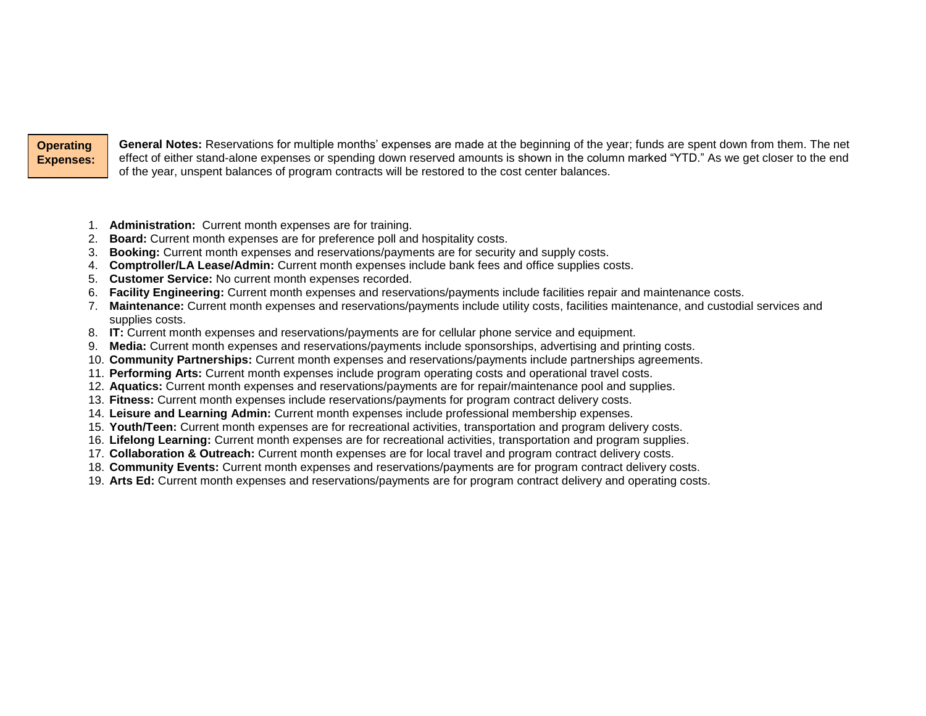**Operating Expenses:**

**General Notes:** Reservations for multiple months' expenses are made at the beginning of the year; funds are spent down from them. The net effect of either stand-alone expenses or spending down reserved amounts is shown in the column marked "YTD." As we get closer to the end of the year, unspent balances of program contracts will be restored to the cost center balances.

- 1. **Administration:** Current month expenses are for training.
- 2. **Board:** Current month expenses are for preference poll and hospitality costs.
- 3. **Booking:** Current month expenses and reservations/payments are for security and supply costs.
- 4. **Comptroller/LA Lease/Admin:** Current month expenses include bank fees and office supplies costs.
- 5. **Customer Service:** No current month expenses recorded.
- 6. **Facility Engineering:** Current month expenses and reservations/payments include facilities repair and maintenance costs.
- 7. **Maintenance:** Current month expenses and reservations/payments include utility costs, facilities maintenance, and custodial services and supplies costs.
- 8. **IT:** Current month expenses and reservations/payments are for cellular phone service and equipment.
- 9. **Media:** Current month expenses and reservations/payments include sponsorships, advertising and printing costs.
- 10. **Community Partnerships:** Current month expenses and reservations/payments include partnerships agreements.
- 11. **Performing Arts:** Current month expenses include program operating costs and operational travel costs.
- 12. **Aquatics:** Current month expenses and reservations/payments are for repair/maintenance pool and supplies.
- 13. **Fitness:** Current month expenses include reservations/payments for program contract delivery costs.
- 14. **Leisure and Learning Admin:** Current month expenses include professional membership expenses.
- 15. **Youth/Teen:** Current month expenses are for recreational activities, transportation and program delivery costs.
- 16. **Lifelong Learning:** Current month expenses are for recreational activities, transportation and program supplies.
- 17. **Collaboration & Outreach:** Current month expenses are for local travel and program contract delivery costs.
- 18. **Community Events:** Current month expenses and reservations/payments are for program contract delivery costs.
- 19. **Arts Ed:** Current month expenses and reservations/payments are for program contract delivery and operating costs.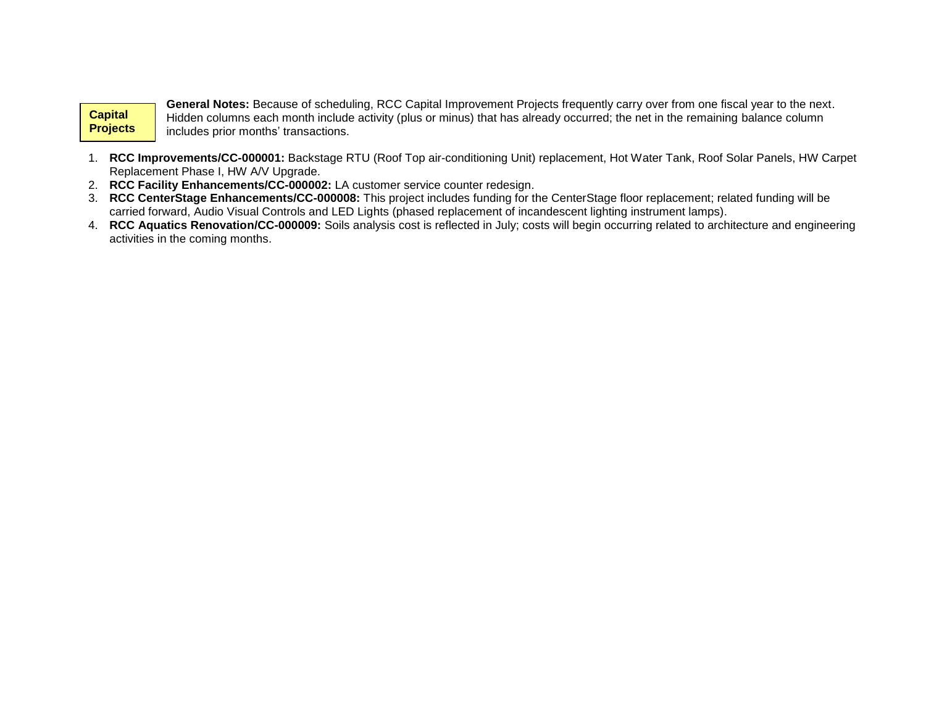#### **Capital Projects Experience**

**General Notes:** Because of scheduling, RCC Capital Improvement Projects frequently carry over from one fiscal year to the next. Hidden columns each month include activity (plus or minus) that has already occurred; the net in the remaining balance column includes prior months' transactions.

- 1. **RCC Improvements/CC-000001:** Backstage RTU (Roof Top air-conditioning Unit) replacement, Hot Water Tank, Roof Solar Panels, HW Carpet Replacement Phase I, HW A/V Upgrade.
- 2. **RCC Facility Enhancements/CC-000002:** LA customer service counter redesign.
- 3. **RCC CenterStage Enhancements/CC-000008:** This project includes funding for the CenterStage floor replacement; related funding will be carried forward, Audio Visual Controls and LED Lights (phased replacement of incandescent lighting instrument lamps).
- 4. **RCC Aquatics Renovation/CC-000009:** Soils analysis cost is reflected in July; costs will begin occurring related to architecture and engineering activities in the coming months.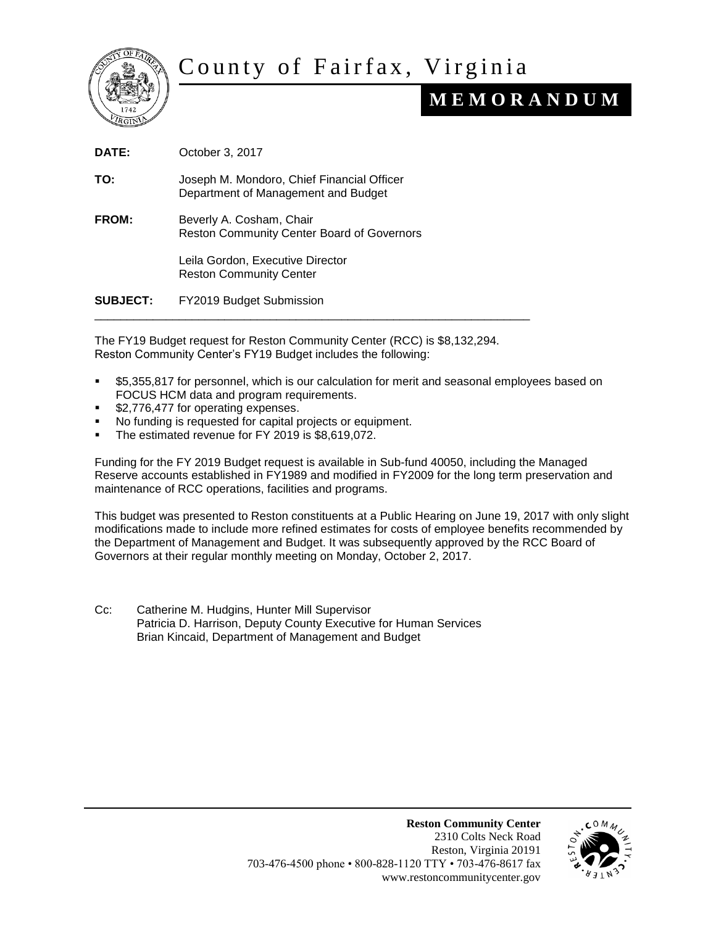

# County of Fairfax, Virginia

## **M E M O R A N D U M**

**DATE:** October 3, 2017 **TO:** Joseph M. Mondoro, Chief Financial Officer Department of Management and Budget **FROM:** Beverly A. Cosham, Chair Reston Community Center Board of Governors Leila Gordon, Executive Director Reston Community Center **SUBJECT:** FY2019 Budget Submission \_\_\_\_\_\_\_\_\_\_\_\_\_\_\_\_\_\_\_\_\_\_\_\_\_\_\_\_\_\_\_\_\_\_\_\_\_\_\_\_\_\_\_\_\_\_\_\_\_\_\_\_\_\_\_\_\_\_\_\_\_\_\_\_\_\_\_

The FY19 Budget request for Reston Community Center (RCC) is \$8,132,294. Reston Community Center's FY19 Budget includes the following:

- \$5,355,817 for personnel, which is our calculation for merit and seasonal employees based on FOCUS HCM data and program requirements.
- \$2,776,477 for operating expenses.
- No funding is requested for capital projects or equipment.
- The estimated revenue for FY 2019 is \$8,619,072.

Funding for the FY 2019 Budget request is available in Sub-fund 40050, including the Managed Reserve accounts established in FY1989 and modified in FY2009 for the long term preservation and maintenance of RCC operations, facilities and programs.

This budget was presented to Reston constituents at a Public Hearing on June 19, 2017 with only slight modifications made to include more refined estimates for costs of employee benefits recommended by the Department of Management and Budget. It was subsequently approved by the RCC Board of Governors at their regular monthly meeting on Monday, October 2, 2017.

Cc: Catherine M. Hudgins, Hunter Mill Supervisor Patricia D. Harrison, Deputy County Executive for Human Services Brian Kincaid, Department of Management and Budget